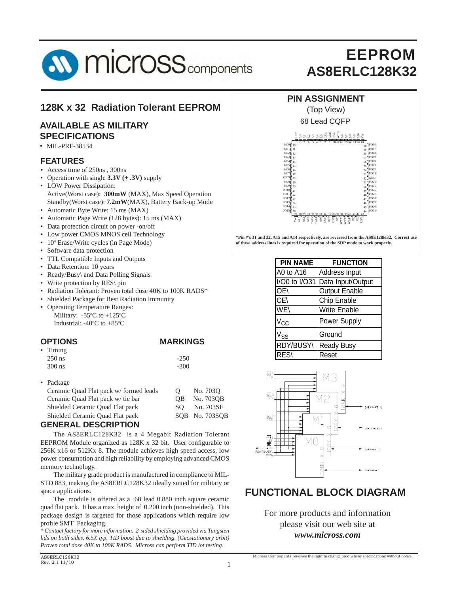

#### **128K x 32 Radiation Tolerant EEPROM**

#### **AVAILABLE AS MILITARY SPECIFICATIONS**

• MIL-PRF-38534

#### **FEATURES**

- *•* Access time of 250ns , 300ns
- Operation with single  $3.3V \pm .3V$ ) supply
- LOW Power Dissipation: Active(Worst case): **300mW** (MAX), Max Speed Operation Standby(Worst case): **7.2mW**(MAX), Battery Back-up Mode
- Automatic Byte Write: 15 ms (MAX)
- Automatic Page Write (128 bytes): 15 ms (MAX)
- Data protection circuit on power -on/off
- Low power CMOS MNOS cell Technology
- 10<sup>4</sup> Erase/Write cycles (in Page Mode)
- Software data protection
- TTL Compatible Inputs and Outputs
- Data Retention: 10 years
- Ready/Busy\ and Data Polling Signals
- Write protection by RES\ pin
- Radiation Tolerant: Proven total dose 40K to 100K RADS\*
- Shielded Package for Best Radiation Immunity
- Operating Temperature Ranges: Military:  $-55^{\circ}$ C to  $+125^{\circ}$ C Industrial:  $-40\degree$ C to  $+85\degree$ C

| <b>OPTIONS</b> | <b>MARKINGS</b> |
|----------------|-----------------|
| • Timing       |                 |

| $\ldots$ |        |
|----------|--------|
| $250$ ns | $-250$ |
| $300$ ns | $-300$ |
|          |        |

| $\bullet$ Package                     |          |                |
|---------------------------------------|----------|----------------|
| Ceramic Quad Flat pack w/formed leads | $\Omega$ | No. 7030       |
| Ceramic Quad Flat pack w/ tie bar     | OВ       | No. 7030B      |
| Shielded Ceramic Quad Flat pack       | SO.      | No. 703SF      |
| Shielded Ceramic Quad Flat pack       |          | SOB No. 703SOB |
| <b>DECODIDTION</b><br>AFLIFRAI        |          |                |

#### **GENERAL DESCRIPTION**

The AS8ERLC128K32 is a 4 Megabit Radiation Tolerant EEPROM Module organized as 128K x 32 bit. User configurable to 256K x16 or 512Kx 8. The module achieves high speed access, low power consumption and high reliability by employing advanced CMOS memory technology.

 The military grade product is manufactured in compliance to MIL-STD 883, making the AS8ERLC128K32 ideally suited for military or space applications.

 The module is offered as a 68 lead 0.880 inch square ceramic quad flat pack. It has a max. height of 0.200 inch (non-shielded). This package design is targeted for those applications which require low profile SMT Packaging.

*\* Contact factory for more information. 2-sided shielding provided via Tungsten lids on both sides. 6.5X typ. TID boost due to shielding. (Geostationary orbit) Proven total dose 40K to 100K RADS. Micross can perform TID lot testing.*

#### **PIN ASSIGNMENT**



**\*Pin #'s 31 and 32, A15 and A14 respectively, are reversed from the AS8E128K32. Correct use of these address lines is required for operation of the SDP mode to work properly.**

| <b>PIN NAME</b>              | <b>FUNCTION</b>      |
|------------------------------|----------------------|
| A0 to A16                    | Address Input        |
| $\sqrt{100}$ to $\sqrt{031}$ | Data Input/Output    |
| OE\                          | <b>Output Enable</b> |
| CE\                          | Chip Enable          |
| WE                           | <b>Write Enable</b>  |
| $V_{\text{CC}}$              | Power Supply         |
| $V_{SS}$                     | Ground               |
| RDY/BUSY\                    | <b>Ready Busy</b>    |
| <b>RES\</b>                  | Reset                |



#### **FUNCTIONAL BLOCK DIAGRAM**

For more products and information please visit our web site at *www.micross.com*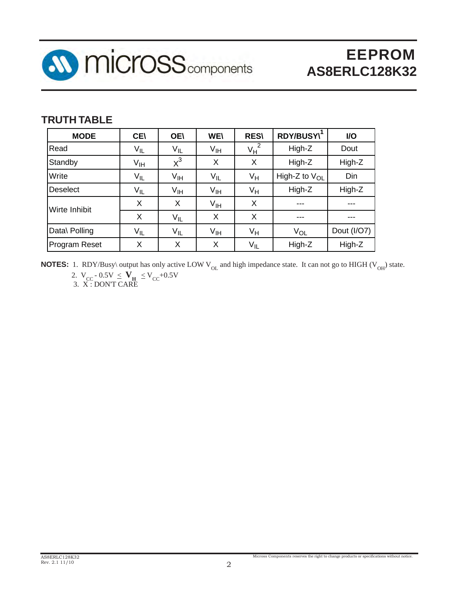

### **TRUTH TABLE**

| <b>MODE</b>          | <b>CE\</b>      | <b>OE\</b>      | <b>WE\</b>      | <b>RES\</b>             | RDY/BUSY\          | I/O         |
|----------------------|-----------------|-----------------|-----------------|-------------------------|--------------------|-------------|
| Read                 | $V_{IL}$        | $V_{IL}$        | $V_{\text{IH}}$ | $\overline{2}$<br>$V_H$ | High-Z             | Dout        |
| Standby              | V <sub>IH</sub> | $x^3$           | X               | X                       | High-Z             | High-Z      |
| Write                | $V_{IL}$        | V <sub>IH</sub> | $V_{IL}$        | Vн                      | High-Z to $V_{OL}$ | Din         |
| Deselect             | $V_{IL}$        | V <sub>IH</sub> | $V_{\text{IH}}$ | $V_H$                   | High-Z             | High-Z      |
| Wirte Inhibit        | X               | X               | $V_{\text{IH}}$ | X                       |                    |             |
|                      | X               | $V_{IL}$        | X               | X                       | ---                | ---         |
| Data\ Polling        | $V_{IL}$        | $V_{IL}$        | V <sub>IH</sub> | Vн                      | $V_{OL}$           | Dout (I/O7) |
| <b>Program Reset</b> | Χ               | X               | X               | $V_{IL}$                | High-Z             | High-Z      |

**NOTES:** 1. RDY/Busy\ output has only active LOW V<sub>OL</sub> and high impedance state. It can not go to HIGH (V<sub>OH</sub>) state.

2.  $V_{CC}$  - 0.5V  $\leq$   $V_H$   $\leq$   $V_{CC}$ +0.5V 3. X : DON'T CARE

AS8ERLC128K32 Rev. 2.1 11/10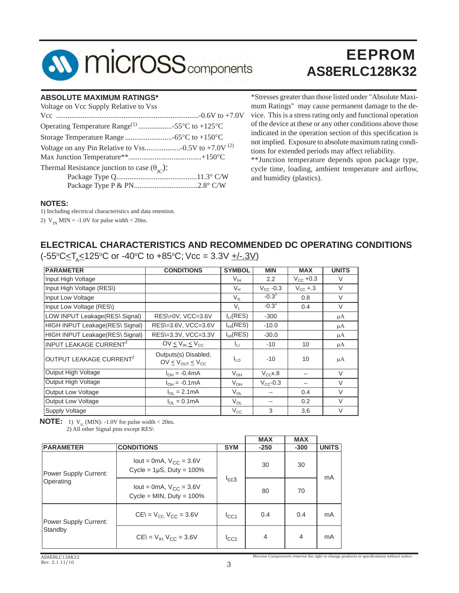

#### **ABSOLUTE MAXIMUM RATINGS\***

| Voltage on Vcc Supply Relative to Vss                        |  |
|--------------------------------------------------------------|--|
|                                                              |  |
| Operating Temperature Range <sup>(1)</sup> 55°C to +125°C    |  |
|                                                              |  |
|                                                              |  |
|                                                              |  |
| Thermal Resistance junction to case $(\theta_{\text{IC}})$ : |  |
|                                                              |  |
|                                                              |  |

\*Stresses greater than those listed under "Absolute Maximum Ratings" may cause permanent damage to the device. This is a stress rating only and functional operation of the device at these or any other conditions above those indicated in the operation section of this specification is not implied. Exposure to absolute maximum rating conditions for extended periods may affect reliability.

\*\*Junction temperature depends upon package type, cycle time, loading, ambient temperature and airflow, and humidity (plastics).

#### **NOTES:**

1) Including electrical characteristics and data retention.

2)  $V_{IN}$  MIN = -1.0V for pulse width < 20ns.

#### **ELECTRICAL CHARACTERISTICS AND RECOMMENDED DC OPERATING CONDITIONS**

(-55°C≤T<sub>A</sub>≤125°C or -40°C to +85°C; Vcc = 3.3V <u>+/-.3V</u>)

| <b>PARAMETER</b>                    | <b>CONDITIONS</b>                               | <b>SYMBOL</b> | <b>MIN</b>           | <b>MAX</b>           | <b>UNITS</b> |
|-------------------------------------|-------------------------------------------------|---------------|----------------------|----------------------|--------------|
| Input High Voltage                  |                                                 | $V_{IH}$      | 2.2                  | $V_{\text{CC}}$ +0.3 | $\vee$       |
| Input High Voltage (RES\)           |                                                 | $V_{H}$       | $V_{\text{CC}}$ -0.3 | $V_{\text{CC}}$ +.3  | $\vee$       |
| Input Low Voltage                   |                                                 | $V_{IL}$      | $-0.3^{1}$           | 0.8                  | $\vee$       |
| Input Low Voltage (RES\)            |                                                 | $V_{L}$       | $-0.31$              | 0.4                  | V            |
| LOW INPUT Leakage(RES\ Signal)      | RES\=0V, VCC=3.6V                               | $I_{LI}(RES)$ | $-300$               |                      | μA           |
| HIGH INPUT Leakage(RES\ Signal)     | RES\=3.6V, VCC=3.6V                             | $I_{HI}(RES)$ | $-10.0$              |                      | μA           |
| HIGH INPUT Leakage(RES\ Signal)     | RES\=3.3V, VCC=3.3V                             | $I_{HI}(RES)$ | $-30.0$              |                      | μA           |
| INPUT LEAKAGE CURRENT <sup>2</sup>  | $OV < V_{IN} < V_{CC}$                          | Īц            | $-10$                | 10                   | μA           |
| OUTPUT LEAKAGE CURRENT <sup>2</sup> | Outputs(s) Disabled,<br>$OV < V_{OUT} < V_{CC}$ | $I_{LO}$      | $-10$                | 10                   | μA           |
| Output High Voltage                 | $I_{OH} = -0.4 \text{mA}$                       | $V_{OH}$      | $V_{CC}$ x.8         |                      | $\vee$       |
| Output High Voltage                 | $I_{OH} = -0.1 \text{mA}$                       | $V_{OH}$      | $V_{CC}$ -0.3        | --                   | $\vee$       |
| Output Low Voltage                  | $I_{OL} = 2.1mA$                                | $V_{OL}$      |                      | 0.4                  | V            |
| Output Low Voltage                  | $I_{OL} = 0.1 \text{mA}$                        | $V_{OL}$      |                      | 0.2                  | $\vee$       |
| Supply Voltage                      |                                                 | $V_{\rm CC}$  | 3                    | 3.6                  | $\vee$       |

**NOTE:** 1)  $V_{\text{II}}$  (MIN): -1.0V for pulse width < 20ns. 2) All other Signal pins except RES\

|                              |                                                                 |            | <b>MAX</b>     | <b>MAX</b>     |              |  |
|------------------------------|-----------------------------------------------------------------|------------|----------------|----------------|--------------|--|
| <b>PARAMETER</b>             | <b>CONDITIONS</b>                                               | <b>SYM</b> | $-250$         | $-300$         | <b>UNITS</b> |  |
| Power Supply Current:        | lout = 0mA, $V_{CC}$ = 3.6V<br>Cycle = $1\mu$ S, Duty = $100\%$ |            | 30             | 30             |              |  |
| Operating                    | lout = 0mA, $V_{CC}$ = 3.6V<br>Cycle = MIN, Duty = $100\%$      | lcc3       | 80             | 70             | mA           |  |
| <b>Power Supply Current:</b> | $CE = V_{CC}$ , $V_{CC} = 3.6V$                                 | ICC1       | 0.4            | 0.4            | mA           |  |
| Standby                      | $CE = V_{H}$ $V_{CC} = 3.6V$                                    | ICC2       | $\overline{4}$ | $\overline{4}$ | mA           |  |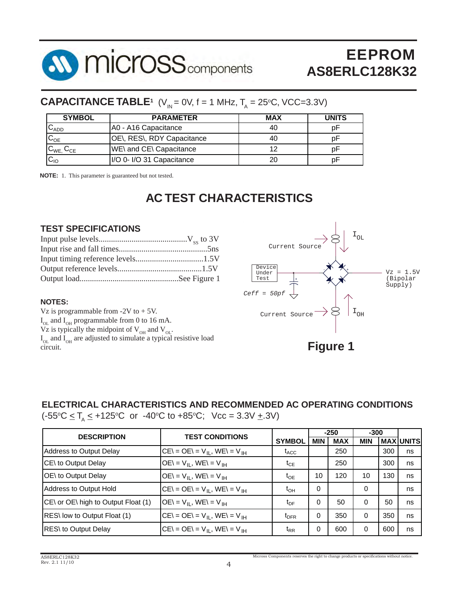

### **CAPACITANCE TABLE<sup>1</sup>** (V<sub>IN</sub> = 0V, f = 1 MHz, T<sub>A</sub> = 25°C, VCC=3.3V)

| <b>SYMBOL</b>       | <b>PARAMETER</b>               | <b>MAX</b> | <b>UNITS</b> |
|---------------------|--------------------------------|------------|--------------|
| $U$ ADD             | A0 - A16 Capacitance           | 40         | рŀ           |
| $C_{OE}$            | OE\, RES\, RDY Capacitance     | 40         | рŀ           |
| $C_{WE}$ , $C_{CE}$ | <b>WE\</b> and CE\ Capacitance | 12         | рF           |
| $IC_{IO}$           | I/O 0- I/O 31 Capacitance      | 20         | рŀ           |

**NOTE:** 1. This parameter is guaranteed but not tested.

### **AC TEST CHARACTERISTICS**

#### **TEST SPECIFICATIONS**

#### **NOTES:**

Vz is programmable from  $-2V$  to  $+5V$ .  $I_{OL}$  and  $I_{OH}$  programmable from 0 to 16 mA. Vz is typically the midpoint of  $V_{OH}$  and  $V_{OL}$ .  $I_{OL}$  and  $I_{OH}$  are adjusted to simulate a typical resistive load  $\frac{dS}{dR}$   $\frac{dS}{dR}$  **Figure 1** 



#### **ELECTRICAL CHARACTERISTICS AND RECOMMENDED AC OPERATING CONDITIONS**

 $(-55\degree C \le T_A \le +125\degree C$  or  $-40\degree C$  to  $+85\degree C$ ; Vcc = 3.3V  $\pm$ .3V)

| <b>TEST CONDITIONS</b><br><b>DESCRIPTION</b> |                                            |                  | $-250$     |            | $-300$     |     |                  |
|----------------------------------------------|--------------------------------------------|------------------|------------|------------|------------|-----|------------------|
|                                              |                                            | <b>SYMBOL</b>    | <b>MIN</b> | <b>MAX</b> | <b>MIN</b> |     | <b>MAX UNITS</b> |
| Address to Output Delay                      | $CE = OE = V_{II}$ , WE\ = V <sub>IH</sub> | $t_{ACC}$        |            | 250        |            | 300 | ns               |
| CE\ to Output Delay                          | $OE = V_{II}$ , $WE = V_{IH}$              | $t_{CE}$         |            | 250        |            | 300 | ns               |
| OE\ to Output Delay                          | $OE = V_{II}$ , $WE = V_{IH}$              | $t_{OE}$         | 10         | 120        | 10         | 130 | ns               |
| <b>Address to Output Hold</b>                | $CE = OE = V_{II}$ , $WE = V_{IH}$         | $t_{OH}$         | $\Omega$   |            | 0          |     | ns               |
| CE\ or OE\ high to Output Float (1)          | $OE = VH$ , WE\ = V <sub>IH</sub>          | $t_{DF}$         | $\Omega$   | 50         | $\Omega$   | 50  | ns               |
| RES\ low to Output Float (1)                 | $CE = OE = V_{II}$ , $WE = V_{IH}$         | $t_{\text{DFR}}$ | 0          | 350        | $\Omega$   | 350 | ns               |
| RES\ to Output Delay                         | $CE = OE = V_{II}$ , $WE = V_{IH}$         | $t_{RR}$         | 0          | 600        | 0          | 600 | ns               |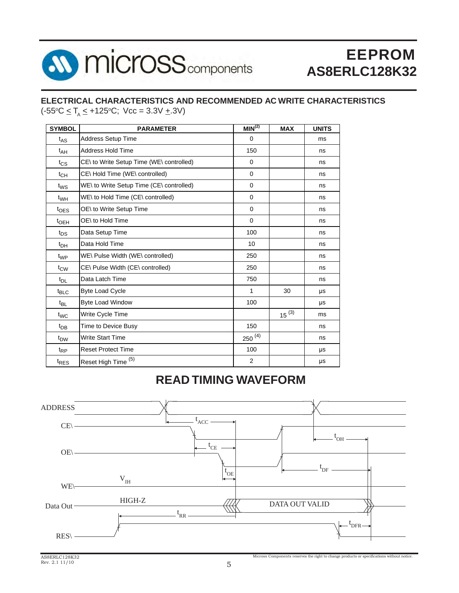

#### **ELECTRICAL CHARACTERISTICS AND RECOMMENDED AC WRITE CHARACTERISTICS**  $(-55^{\circ}C \leq T_A \leq +125^{\circ}C;$  Vcc = 3.3V  $\pm$ .3V)

| <b>SYMBOL</b>      | <b>PARAMETER</b>                         | MIN <sup>(2)</sup> | <b>MAX</b> | <b>UNITS</b> |
|--------------------|------------------------------------------|--------------------|------------|--------------|
| $t_{AS}$           | <b>Address Setup Time</b>                | $\Omega$           |            | ms           |
| $t_{AH}$           | <b>Address Hold Time</b>                 | 150                |            | ns           |
| $t_{\text{CS}}$    | CE\ to Write Setup Time (WE\ controlled) | $\mathbf 0$        |            | ns           |
| $t_{CH}$           | CE\Hold Time (WE\ controlled)            | $\Omega$           |            | ns           |
| $t_{WS}$           | WE\ to Write Setup Time (CE\ controlled) | $\mathbf 0$        |            | ns           |
| t <sub>WH</sub>    | WE\ to Hold Time (CE\ controlled)        | $\mathbf 0$        |            | ns           |
| $t$ <sub>OES</sub> | OE\ to Write Setup Time                  | $\mathbf 0$        |            | ns           |
| $t_{\text{OEH}}$   | OE\ to Hold Time                         | $\Omega$           |            | ns           |
| $t_{DS}$           | Data Setup Time                          | 100                |            | ns           |
| $t_{DH}$           | Data Hold Time                           | 10                 |            | ns           |
| $t_{WP}$           | WE\ Pulse Width (WE\ controlled)         | 250                |            | ns           |
| $t_{\text{CW}}$    | CE\ Pulse Width (CE\ controlled)         | 250                |            | ns           |
| $t_{DL}$           | Data Latch Time                          | 750                |            | ns           |
| $t_{\text{BLC}}$   | <b>Byte Load Cycle</b>                   | 1                  | 30         | μs           |
| $t_{BL}$           | <b>Byte Load Window</b>                  | 100                |            | μs           |
| t <sub>WC</sub>    | Write Cycle Time                         |                    | $15^{(3)}$ | ms           |
| $t_{DB}$           | Time to Device Busy                      | 150                |            | ns           |
| t <sub>DW</sub>    | <b>Write Start Time</b>                  | $250^{(4)}$        |            | ns           |
| $t_{RP}$           | <b>Reset Protect Time</b>                | 100                |            | μs           |
| <sup>t</sup> RES   | (5)<br>Reset High Time                   | 2                  |            | μs           |

### **READ TIMING WAVEFORM**

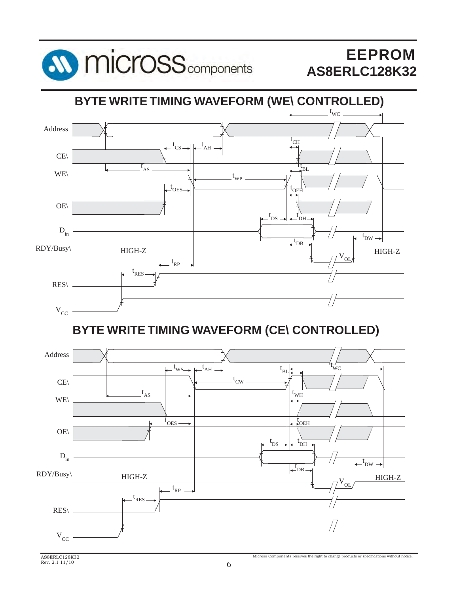

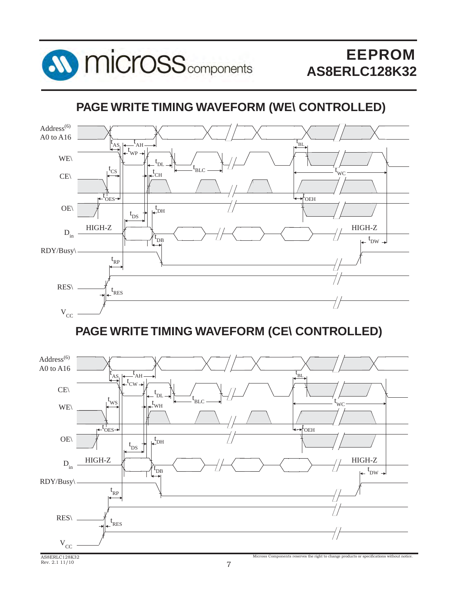

### **PAGE WRITE TIMING WAVEFORM (WE\ CONTROLLED)**



### **PAGE WRITE TIMING WAVEFORM (CE\ CONTROLLED)**

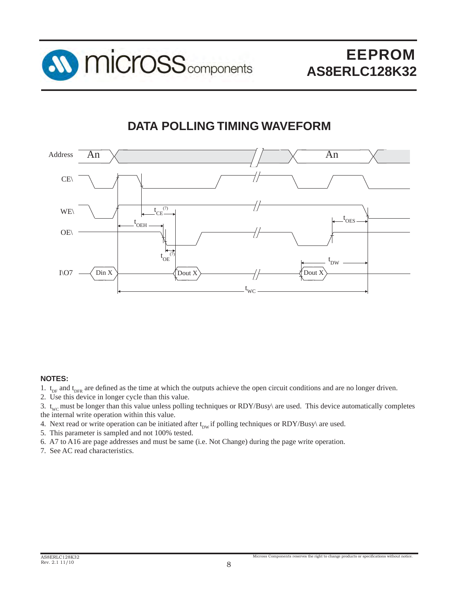

### **DATA POLLING TIMING WAVEFORM**



#### **NOTES:**

- 1.  $t_{DF}$  and  $t_{DFR}$  are defined as the time at which the outputs achieve the open circuit conditions and are no longer driven.
- 2. Use this device in longer cycle than this value.

3.  $t_{\text{wc}}$  must be longer than this value unless polling techniques or RDY/Busy\ are used. This device automatically completes the internal write operation within this value.

- 4. Next read or write operation can be initiated after  $t_{\text{DW}}$  if polling techniques or RDY/Busy\ are used.
- 5. This parameter is sampled and not 100% tested.

6. A7 to A16 are page addresses and must be same (i.e. Not Change) during the page write operation.

7. See AC read characteristics.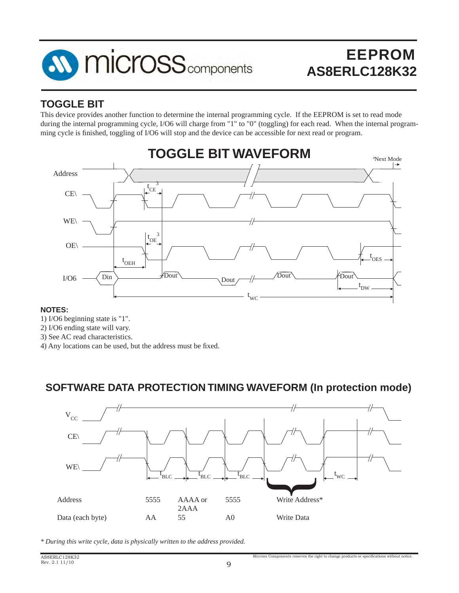

### **TOGGLE BIT**

This device provides another function to determine the internal programming cycle. If the EEPROM is set to read mode during the internal programming cycle, I/O6 will charge from "1" to "0" (toggling) for each read. When the internal programming cycle is finished, toggling of I/O6 will stop and the device can be accessible for next read or program.



#### **NOTES:**

- 1) I/O6 beginning state is "1".
- 2) I/O6 ending state will vary.
- 3) See AC read characteristics.
- 4) Any locations can be used, but the address must be fixed.

### **SOFTWARE DATA PROTECTION TIMING WAVEFORM (In protection mode)**



*\* During this write cycle, data is physically written to the address provided.*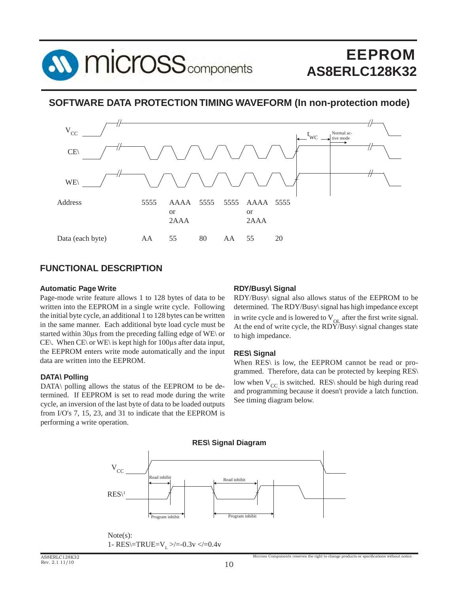

#### **SOFTWARE DATA PROTECTION TIMING WAVEFORM (In non-protection mode)**



#### **FUNCTIONAL DESCRIPTION**

#### **Automatic Page Write**

Page-mode write feature allows 1 to 128 bytes of data to be written into the EEPROM in a single write cycle. Following the initial byte cycle, an additional 1 to 128 bytes can be written in the same manner. Each additional byte load cycle must be started within 30μs from the preceding falling edge of WE\ or CE\. When CE\ or WE\ is kept high for 100μs after data input, the EEPROM enters write mode automatically and the input data are written into the EEPROM.

#### **DATA\ Polling**

DATA\ polling allows the status of the EEPROM to be determined. If EEPROM is set to read mode during the write cycle, an inversion of the last byte of data to be loaded outputs from I/O's 7, 15, 23, and 31 to indicate that the EEPROM is performing a write operation.

#### **RDY/Busy\ Signal**

RDY/Busy\ signal also allows status of the EEPROM to be determined. The RDY/Busy\ signal has high impedance except in write cycle and is lowered to  $V_{\text{OL}}$  after the first write signal. At the end of write cycle, the  $RDY/B$ usy $\frac{1}{2}$  signal changes state to high impedance.

#### **RES\ Signal**

When RES\ is low, the EEPROM cannot be read or programmed. Therefore, data can be protected by keeping RES\ low when  $V_{CC}$  is switched. RES\ should be high during read and programming because it doesn't provide a latch function. See timing diagram below.



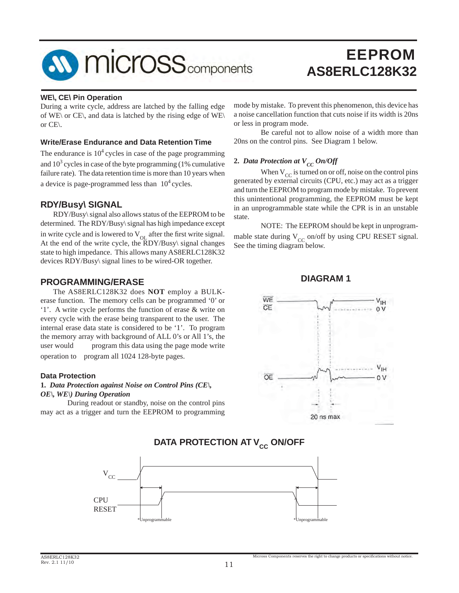

#### **WE\, CE\ Pin Operation**

During a write cycle, address are latched by the falling edge of WE\ or CE\, and data is latched by the rising edge of WE\ or CE\.

#### **Write/Erase Endurance and Data Retention Time**

The endurance is  $10<sup>4</sup>$  cycles in case of the page programming and  $10<sup>3</sup>$  cycles in case of the byte programming (1% cumulative failure rate). The data retention time is more than 10 years when a device is page-programmed less than  $10<sup>4</sup>$  cycles.

#### **RDY/Busy\ SIGNAL**

 RDY/Busy\ signal also allows status of the EEPROM to be determined. The RDY/Busy\ signal has high impedance except in write cycle and is lowered to  $V<sub>OL</sub>$  after the first write signal. At the end of the write cycle, the  $\overline{R}DY/Busy\$  signal changes state to high impedance. This allows many AS8ERLC128K32 devices RDY/Busy\ signal lines to be wired-OR together.

#### **PROGRAMMING/ERASE**

 The AS8ERLC128K32 does **NOT** employ a BULKerase function. The memory cells can be programmed '0' or '1'. A write cycle performs the function of erase & write on every cycle with the erase being transparent to the user. The internal erase data state is considered to be '1'. To program the memory array with background of ALL 0's or All 1's, the user would program this data using the page mode write operation to program all 1024 128-byte pages.

#### **Data Protection**

#### **1.** *Data Protection against Noise on Control Pins (CE\, OE\, WE\) During Operation*

 During readout or standby, noise on the control pins may act as a trigger and turn the EEPROM to programming

 $*$ Unprogr

RESET

mode by mistake. To prevent this phenomenon, this device has a noise cancellation function that cuts noise if its width is 20ns or less in program mode.

 Be careful not to allow noise of a width more than 20ns on the control pins. See Diagram 1 below.

#### **2.** *Data Protection at*  $V_{CC}$  *On/Off*

When  $V_{CC}$  is turned on or off, noise on the control pins generated by external circuits (CPU, etc.) may act as a trigger and turn the EEPROM to program mode by mistake. To prevent this unintentional programming, the EEPROM must be kept in an unprogrammable state while the CPR is in an unstable state.

 NOTE: The EEPROM should be kept in unprogrammable state during  $V_{CC}$  on/off by using CPU RESET signal. See the timing diagram below.

**DIAGRAM 1**



# $\rm V_{CC}$ CPU

#### **DATA PROTECTION AT V<sub>cc</sub> ON/OFF**

\*Unprogrammable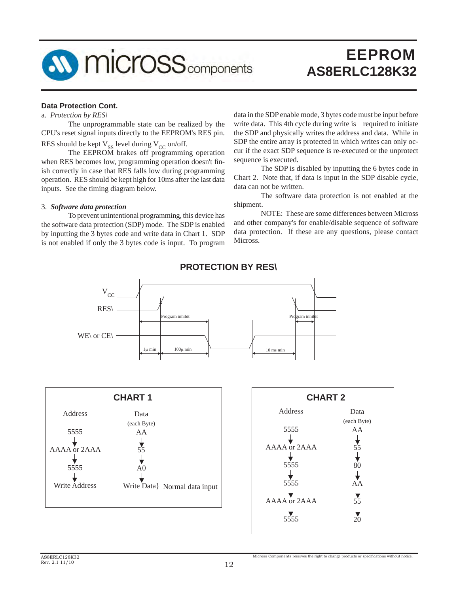

#### **Data Protection Cont.**

a. *Protection by RES\*

The unprogrammable state can be realized by the CPU's reset signal inputs directly to the EEPROM's RES pin. RES should be kept  $V_{\rm ss}$  level during  $V_{\rm CC}$  on/off.

The EEPROM brakes off programming operation when RES becomes low, programming operation doesn't finish correctly in case that RES falls low during programming operation. RES should be kept high for 10ms after the last data inputs. See the timing diagram below.

#### 3. *Software data protection*

To prevent unintentional programming, this device has the software data protection (SDP) mode. The SDP is enabled by inputting the 3 bytes code and write data in Chart 1. SDP is not enabled if only the 3 bytes code is input. To program

data in the SDP enable mode, 3 bytes code must be input before write data. This 4th cycle during write is required to initiate the SDP and physically writes the address and data. While in SDP the entire array is protected in which writes can only occur if the exact SDP sequence is re-executed or the unprotect sequence is executed.

 The SDP is disabled by inputting the 6 bytes code in Chart 2. Note that, if data is input in the SDP disable cycle, data can not be written.

 The software data protection is not enabled at the shipment.

 NOTE: These are some differences between Micross and other company's for enable/disable sequence of software data protection. If these are any questions, please contact Micross.



#### **PROTECTION BY RES\**



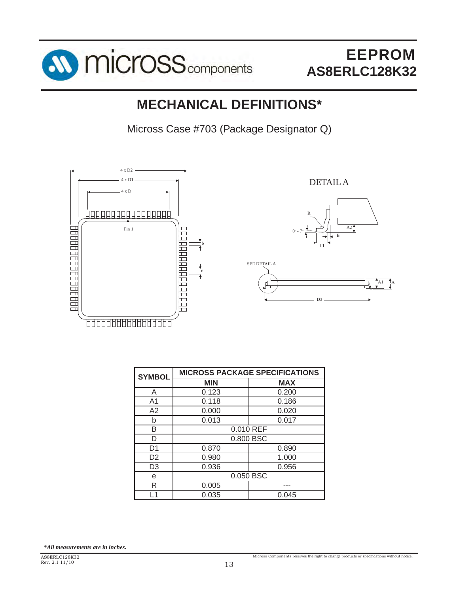

### **MECHANICAL DEFINITIONS\***

Micross Case #703 (Package Designator Q)



DETAIL A





Micross Components reserves the right to change products or specifications without notice

| <b>SYMBOL</b>  | <b>MICROSS PACKAGE SPECIFICATIONS</b> |            |  |
|----------------|---------------------------------------|------------|--|
|                | <b>MIN</b>                            | <b>MAX</b> |  |
| A              | 0.123                                 | 0.200      |  |
| A1             | 0.118                                 | 0.186      |  |
| A2             | 0.000                                 | 0.020      |  |
| b              | 0.013                                 | 0.017      |  |
| В              | 0.010 REF                             |            |  |
| D              | 0.800 BSC                             |            |  |
| D1             | 0.870                                 | 0.890      |  |
| D <sub>2</sub> | 0.980                                 | 1.000      |  |
| D <sub>3</sub> | 0.936                                 | 0.956      |  |
| е              | 0.050 BSC                             |            |  |
| R              | 0.005                                 |            |  |
| 1              | 0.035                                 | 0.045      |  |

*\*All measurements are in inches.*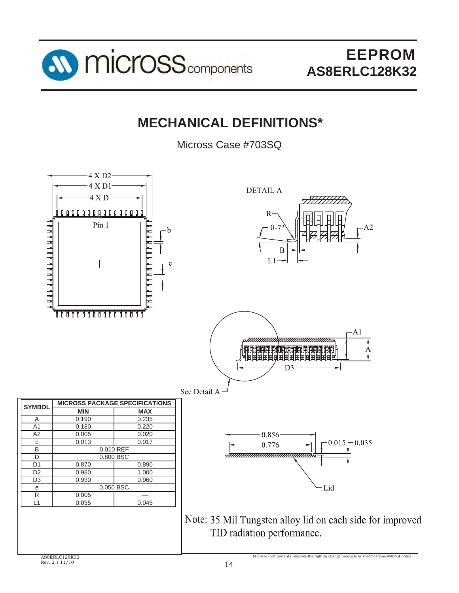

### **MECHANICAL DEFINITIONS\***

Micross Case #703SQ

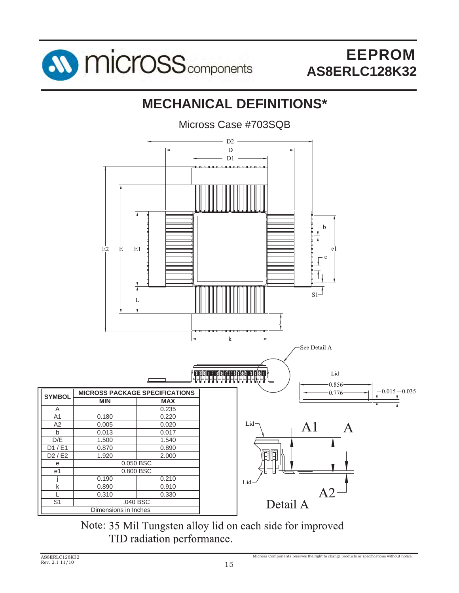

## **MECHANICAL DEFINITIONS\***

Micross Case #703SQB



Note: 35 Mil Tungsten alloy lid on each side for improved TID radiation performance.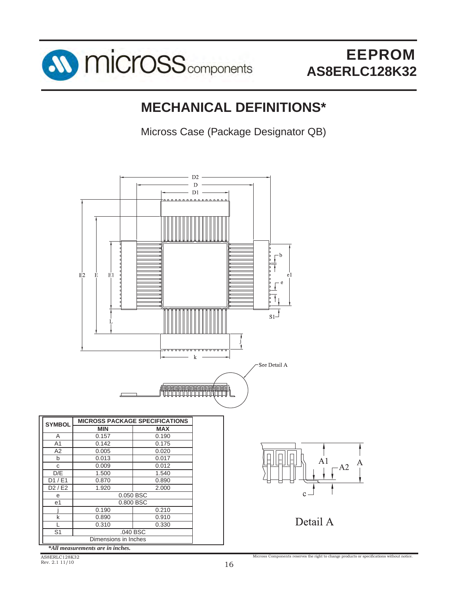

### **MECHANICAL DEFINITIONS\***

Micross Case (Package Designator QB)



*\*All measurements are in inches.*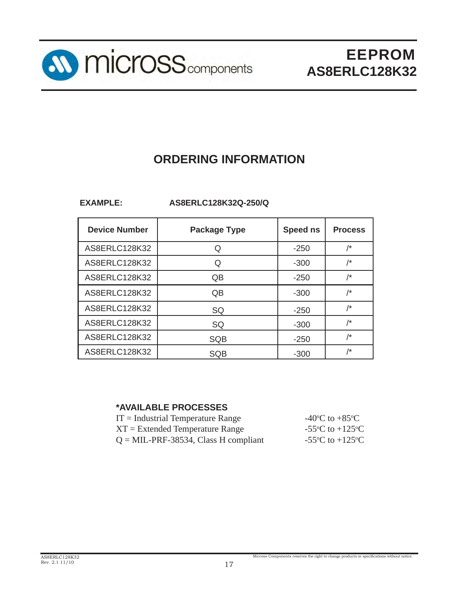

### **ORDERING INFORMATION**

**EXAMPLE: AS8ERLC128K32Q-250/Q**

| <b>Device Number</b> | <b>Package Type</b> | Speed ns | <b>Process</b>  |
|----------------------|---------------------|----------|-----------------|
| AS8ERLC128K32        |                     | $-250$   | $\overline{1*}$ |
| AS8ERLC128K32        |                     | $-300$   | $\overline{'}$  |
| AS8ERLC128K32        | QB                  | $-250$   | $\overline{'}$  |
| AS8ERLC128K32        | QB                  | $-300$   | /*              |
| AS8ERLC128K32        | SQ                  | $-250$   | $/\star$        |
| AS8ERLC128K32        | SQ                  | $-300$   | $\overline{1}$  |
| AS8ERLC128K32        | <b>SQB</b>          | $-250$   | $\overline{1*}$ |
| AS8ERLC128K32        | SQB                 | $-300$   | /*              |

#### **\*AVAILABLE PROCESSES**

| $IT = Industrial Temperature Range$     | -40 $\rm{^{\circ}C}$ to +85 $\rm{^{\circ}C}$ |
|-----------------------------------------|----------------------------------------------|
| $XT = Extended Temperature Range$       | -55 °C to +125 °C                            |
| $Q = MIL-PRF-38534$ , Class H compliant | -55 °C to +125 °C                            |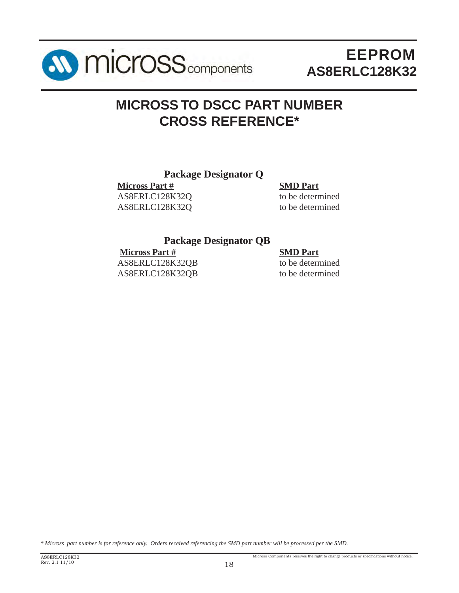

### **MICROSS TO DSCC PART NUMBER CROSS REFERENCE\***

#### **Package Designator Q**

**Micross Part # SMD Part** AS8ERLC128K32Q to be determined AS8ERLC128K32Q to be determined

#### **Package Designator QB**

 **Micross Part # SMD Part** AS8ERLC128K32QB to be determined

AS8ERLC128K32QB to be determined

Micross Components reserves the right to change products or specifications without notice.

*\* Micross part number is for reference only. Orders received referencing the SMD part number will be processed per the SMD.*